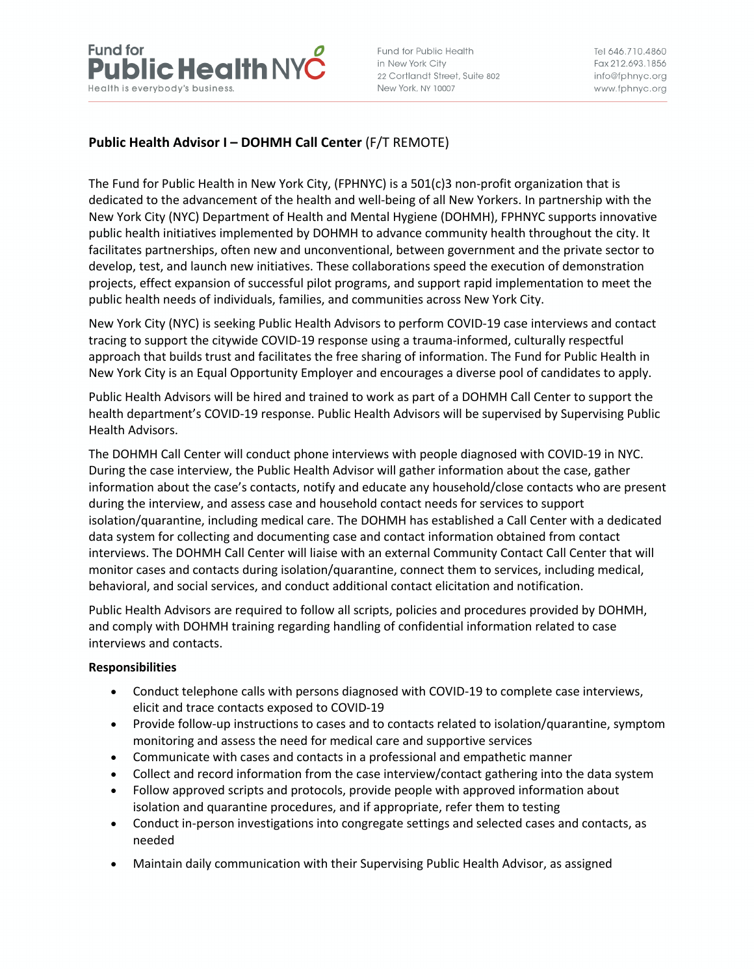

Fund for Public Health in New York City 22 Cortlandt Street, Suite 802 New York, NY 10007

Tel 646.710.4860 Fax 212,693,1856 info@fphnyc.org www.fphnyc.org

# **Public Health Advisor I – DOHMH Call Center** (F/T REMOTE)

The Fund for Public Health in New York City, (FPHNYC) is a 501(c)3 non-profit organization that is dedicated to the advancement of the health and well-being of all New Yorkers. In partnership with the New York City (NYC) Department of Health and Mental Hygiene (DOHMH), FPHNYC supports innovative public health initiatives implemented by DOHMH to advance community health throughout the city. It facilitates partnerships, often new and unconventional, between government and the private sector to develop, test, and launch new initiatives. These collaborations speed the execution of demonstration projects, effect expansion of successful pilot programs, and support rapid implementation to meet the public health needs of individuals, families, and communities across New York City.

New York City (NYC) is seeking Public Health Advisors to perform COVID-19 case interviews and contact tracing to support the citywide COVID-19 response using a trauma-informed, culturally respectful approach that builds trust and facilitates the free sharing of information. The Fund for Public Health in New York City is an Equal Opportunity Employer and encourages a diverse pool of candidates to apply.

Public Health Advisors will be hired and trained to work as part of a DOHMH Call Center to support the health department's COVID-19 response. Public Health Advisors will be supervised by Supervising Public Health Advisors.

The DOHMH Call Center will conduct phone interviews with people diagnosed with COVID-19 in NYC. During the case interview, the Public Health Advisor will gather information about the case, gather information about the case's contacts, notify and educate any household/close contacts who are present during the interview, and assess case and household contact needs for services to support isolation/quarantine, including medical care. The DOHMH has established a Call Center with a dedicated data system for collecting and documenting case and contact information obtained from contact interviews. The DOHMH Call Center will liaise with an external Community Contact Call Center that will monitor cases and contacts during isolation/quarantine, connect them to services, including medical, behavioral, and social services, and conduct additional contact elicitation and notification.

Public Health Advisors are required to follow all scripts, policies and procedures provided by DOHMH, and comply with DOHMH training regarding handling of confidential information related to case interviews and contacts.

#### **Responsibilities**

- Conduct telephone calls with persons diagnosed with COVID-19 to complete case interviews, elicit and trace contacts exposed to COVID-19
- Provide follow-up instructions to cases and to contacts related to isolation/quarantine, symptom monitoring and assess the need for medical care and supportive services
- Communicate with cases and contacts in a professional and empathetic manner
- Collect and record information from the case interview/contact gathering into the data system
- Follow approved scripts and protocols, provide people with approved information about isolation and quarantine procedures, and if appropriate, refer them to testing
- Conduct in-person investigations into congregate settings and selected cases and contacts, as needed
- Maintain daily communication with their Supervising Public Health Advisor, as assigned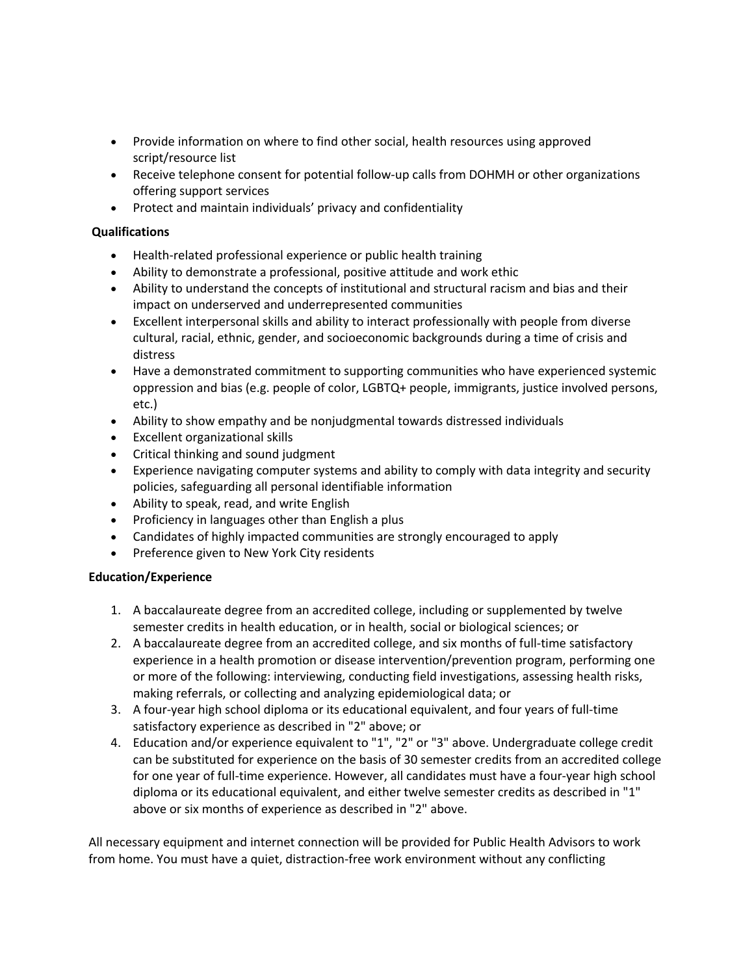- Provide information on where to find other social, health resources using approved script/resource list
- Receive telephone consent for potential follow-up calls from DOHMH or other organizations offering support services
- Protect and maintain individuals' privacy and confidentiality

# **Qualifications**

- Health-related professional experience or public health training
- Ability to demonstrate a professional, positive attitude and work ethic
- Ability to understand the concepts of institutional and structural racism and bias and their impact on underserved and underrepresented communities
- Excellent interpersonal skills and ability to interact professionally with people from diverse cultural, racial, ethnic, gender, and socioeconomic backgrounds during a time of crisis and distress
- Have a demonstrated commitment to supporting communities who have experienced systemic oppression and bias (e.g. people of color, LGBTQ+ people, immigrants, justice involved persons, etc.)
- Ability to show empathy and be nonjudgmental towards distressed individuals
- Excellent organizational skills
- Critical thinking and sound judgment
- Experience navigating computer systems and ability to comply with data integrity and security policies, safeguarding all personal identifiable information
- Ability to speak, read, and write English
- Proficiency in languages other than English a plus
- Candidates of highly impacted communities are strongly encouraged to apply
- Preference given to New York City residents

#### **Education/Experience**

- 1. A baccalaureate degree from an accredited college, including or supplemented by twelve semester credits in health education, or in health, social or biological sciences; or
- 2. A baccalaureate degree from an accredited college, and six months of full-time satisfactory experience in a health promotion or disease intervention/prevention program, performing one or more of the following: interviewing, conducting field investigations, assessing health risks, making referrals, or collecting and analyzing epidemiological data; or
- 3. A four-year high school diploma or its educational equivalent, and four years of full-time satisfactory experience as described in "2" above; or
- 4. Education and/or experience equivalent to "1", "2" or "3" above. Undergraduate college credit can be substituted for experience on the basis of 30 semester credits from an accredited college for one year of full-time experience. However, all candidates must have a four-year high school diploma or its educational equivalent, and either twelve semester credits as described in "1" above or six months of experience as described in "2" above.

All necessary equipment and internet connection will be provided for Public Health Advisors to work from home. You must have a quiet, distraction-free work environment without any conflicting